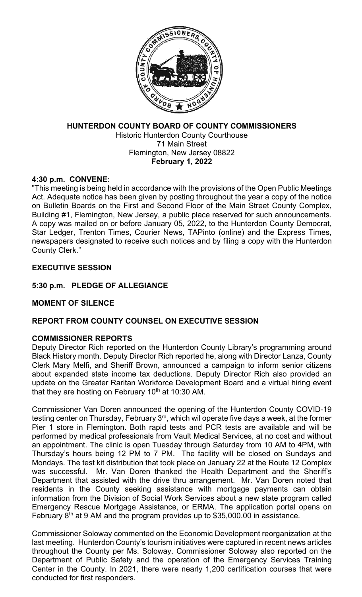

# **HUNTERDON COUNTY BOARD OF COUNTY COMMISSIONERS** Historic Hunterdon County Courthouse

71 Main Street Flemington, New Jersey 08822 **February 1, 2022**

## **4:30 p.m. CONVENE:**

"This meeting is being held in accordance with the provisions of the Open Public Meetings Act. Adequate notice has been given by posting throughout the year a copy of the notice on Bulletin Boards on the First and Second Floor of the Main Street County Complex, Building #1, Flemington, New Jersey, a public place reserved for such announcements. A copy was mailed on or before January 05, 2022, to the Hunterdon County Democrat, Star Ledger, Trenton Times, Courier News, TAPinto (online) and the Express Times, newspapers designated to receive such notices and by filing a copy with the Hunterdon County Clerk."

## **EXECUTIVE SESSION**

**5:30 p.m. PLEDGE OF ALLEGIANCE**

## **MOMENT OF SILENCE**

## **REPORT FROM COUNTY COUNSEL ON EXECUTIVE SESSION**

## **COMMISSIONER REPORTS**

Deputy Director Rich reported on the Hunterdon County Library's programming around Black History month. Deputy Director Rich reported he, along with Director Lanza, County Clerk Mary Melfi, and Sheriff Brown, announced a campaign to inform senior citizens about expanded state income tax deductions. Deputy Director Rich also provided an update on the Greater Raritan Workforce Development Board and a virtual hiring event that they are hosting on February  $10^{th}$  at 10:30 AM.

Commissioner Van Doren announced the opening of the Hunterdon County COVID-19 testing center on Thursday, February 3<sup>rd</sup>, which wil operate five days a week, at the former Pier 1 store in Flemington. Both rapid tests and PCR tests are available and will be performed by medical professionals from Vault Medical Services, at no cost and without an appointment. The clinic is open Tuesday through Saturday from 10 AM to 4PM, with Thursday's hours being 12 PM to 7 PM. The facility will be closed on Sundays and Mondays. The test kit distribution that took place on January 22 at the Route 12 Complex was successful. Mr. Van Doren thanked the Health Department and the Sheriff's Department that assisted with the drive thru arrangement. Mr. Van Doren noted that residents in the County seeking assistance with mortgage payments can obtain information from the Division of Social Work Services about a new state program called Emergency Rescue Mortgage Assistance, or ERMA. The application portal opens on February  $8<sup>th</sup>$  at 9 AM and the program provides up to \$35,000.00 in assistance.

Commissioner Soloway commented on the Economic Development reorganization at the last meeting. Hunterdon County's tourism initiatives were captured in recent news articles throughout the County per Ms. Soloway. Commissioner Soloway also reported on the Department of Public Safety and the operation of the Emergency Services Training Center in the County. In 2021, there were nearly 1,200 certification courses that were conducted for first responders.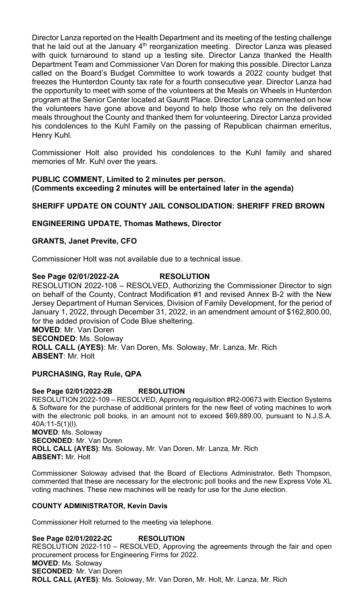Director Lanza reported on the Health Department and its meeting of the testing challenge that he laid out at the January  $4<sup>th</sup>$  reorganization meeting. Director Lanza was pleased with quick turnaround to stand up a testing site. Director Lanza thanked the Health Department Team and Commissioner Van Doren for making this possible. Director Lanza called on the Board's Budget Committee to work towards a 2022 county budget that freezes the Hunterdon County tax rate for a fourth consecutive year. Director Lanza had the opportunity to meet with some of the volunteers at the Meals on Wheels in Hunterdon program at the Senior Center located at Gauntt Place. Director Lanza commented on how the volunteers have gone above and beyond to help those who rely on the delivered meals throughout the County and thanked them for volunteering. Director Lanza provided his condolences to the Kuhl Family on the passing of Republican chairman emeritus, Henry Kuhl.

Commissioner Holt also provided his condolences to the Kuhl family and shared memories of Mr. Kuhl over the years.

## **PUBLIC COMMENT, Limited to 2 minutes per person. (Comments exceeding 2 minutes will be entertained later in the agenda)**

## **SHERIFF UPDATE ON COUNTY JAIL CONSOLIDATION: SHERIFF FRED BROWN**

### **ENGINEERING UPDATE, Thomas Mathews, Director**

### **GRANTS, Janet Previte, CFO**

Commissioner Holt was not available due to a technical issue.

#### **See Page 02/01/2022-2A RESOLUTION**

RESOLUTION 2022-108 – RESOLVED, Authorizing the Commissioner Director to sign on behalf of the County, Contract Modification #1 and revised Annex B-2 with the New Jersey Department of Human Services, Division of Family Development, for the period of January 1, 2022, through December 31, 2022, in an amendment amount of \$162,800.00, for the added provision of Code Blue sheltering. **MOVED**: Mr. Van Doren **SECONDED**: Ms. Soloway **ROLL CALL (AYES)**: Mr. Van Doren, Ms. Soloway, Mr. Lanza, Mr. Rich **ABSENT**: Mr. Holt

#### **PURCHASING, Ray Rule, QPA**

#### **See Page 02/01/2022-2B RESOLUTION**

RESOLUTION 2022-109 – RESOLVED, Approving requisition #R2-00673 with Election Systems & Software for the purchase of additional printers for the new fleet of voting machines to work with the electronic poll books, in an amount not to exceed \$69,889.00, pursuant to N.J.S.A. 40A:11-5(1)(l). **MOVED**: Ms. Soloway **SECONDED**: Mr. Van Doren **ROLL CALL (AYES)**: Ms. Soloway, Mr. Van Doren, Mr. Lanza, Mr. Rich **ABSENT:** Mr. Holt

Commissioner Soloway advised that the Board of Elections Administrator, Beth Thompson, commented that these are necessary for the electronic poll books and the new Express Vote XL voting machines. These new machines will be ready for use for the June election.

#### **COUNTY ADMINISTRATOR, Kevin Davis**

Commissioner Holt returned to the meeting via telephone.

**See Page 02/01/2022-2C RESOLUTION** RESOLUTION 2022-110 – RESOLVED, Approving the agreements through the fair and open procurement process for Engineering Firms for 2022. **MOVED**: Ms. Soloway **SECONDED**: Mr. Van Doren **ROLL CALL (AYES)**: Ms. Soloway, Mr. Van Doren, Mr. Holt, Mr. Lanza, Mr. Rich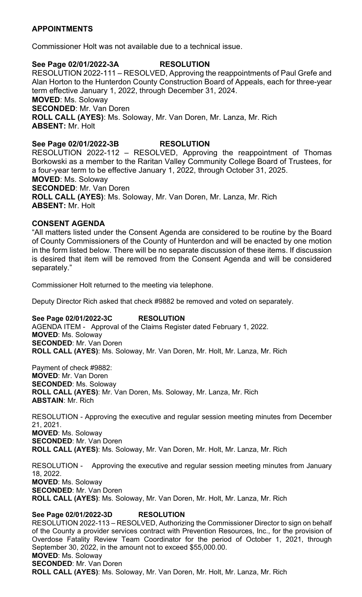## **APPOINTMENTS**

Commissioner Holt was not available due to a technical issue.

### **See Page 02/01/2022-3A RESOLUTION**

RESOLUTION 2022-111 – RESOLVED, Approving the reappointments of Paul Grefe and Alan Horton to the Hunterdon County Construction Board of Appeals, each for three-year term effective January 1, 2022, through December 31, 2024.

**MOVED**: Ms. Soloway **SECONDED**: Mr. Van Doren **ROLL CALL (AYES)**: Ms. Soloway, Mr. Van Doren, Mr. Lanza, Mr. Rich **ABSENT:** Mr. Holt

## **See Page 02/01/2022-3B RESOLUTION**

RESOLUTION 2022-112 – RESOLVED, Approving the reappointment of Thomas Borkowski as a member to the Raritan Valley Community College Board of Trustees, for a four-year term to be effective January 1, 2022, through October 31, 2025. **MOVED**: Ms. Soloway **SECONDED**: Mr. Van Doren **ROLL CALL (AYES)**: Ms. Soloway, Mr. Van Doren, Mr. Lanza, Mr. Rich **ABSENT:** Mr. Holt

### **CONSENT AGENDA**

"All matters listed under the Consent Agenda are considered to be routine by the Board of County Commissioners of the County of Hunterdon and will be enacted by one motion in the form listed below. There will be no separate discussion of these items. If discussion is desired that item will be removed from the Consent Agenda and will be considered separately."

Commissioner Holt returned to the meeting via telephone.

Deputy Director Rich asked that check #9882 be removed and voted on separately.

**See Page 02/01/2022-3C RESOLUTION**

AGENDA ITEM - Approval of the Claims Register dated February 1, 2022. **MOVED**: Ms. Soloway **SECONDED**: Mr. Van Doren **ROLL CALL (AYES)**: Ms. Soloway, Mr. Van Doren, Mr. Holt, Mr. Lanza, Mr. Rich

Payment of check #9882: **MOVED**: Mr. Van Doren **SECONDED**: Ms. Soloway **ROLL CALL (AYES)**: Mr. Van Doren, Ms. Soloway, Mr. Lanza, Mr. Rich **ABSTAIN**: Mr. Rich

RESOLUTION - Approving the executive and regular session meeting minutes from December 21, 2021. **MOVED**: Ms. Soloway **SECONDED**: Mr. Van Doren **ROLL CALL (AYES)**: Ms. Soloway, Mr. Van Doren, Mr. Holt, Mr. Lanza, Mr. Rich

RESOLUTION - Approving the executive and regular session meeting minutes from January 18, 2022. **MOVED**: Ms. Soloway **SECONDED**: Mr. Van Doren **ROLL CALL (AYES)**: Ms. Soloway, Mr. Van Doren, Mr. Holt, Mr. Lanza, Mr. Rich

**See Page 02/01/2022-3D RESOLUTION** RESOLUTION 2022-113 – RESOLVED, Authorizing the Commissioner Director to sign on behalf of the County a provider services contract with Prevention Resources, Inc., for the provision of Overdose Fatality Review Team Coordinator for the period of October 1, 2021, through September 30, 2022, in the amount not to exceed \$55,000.00. **MOVED**: Ms. Soloway **SECONDED**: Mr. Van Doren **ROLL CALL (AYES)**: Ms. Soloway, Mr. Van Doren, Mr. Holt, Mr. Lanza, Mr. Rich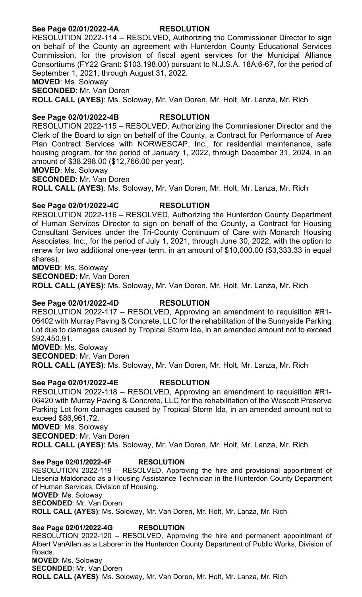## **See Page 02/01/2022-4A RESOLUTION**

RESOLUTION 2022-114 – RESOLVED, Authorizing the Commissioner Director to sign on behalf of the County an agreement with Hunterdon County Educational Services Commission, for the provision of fiscal agent services for the Municipal Alliance Consortiums (FY22 Grant: \$103,198.00) pursuant to N.J.S.A. 18A:6-67, for the period of September 1, 2021, through August 31, 2022.

**MOVED**: Ms. Soloway

**SECONDED**: Mr. Van Doren

**ROLL CALL (AYES)**: Ms. Soloway, Mr. Van Doren, Mr. Holt, Mr. Lanza, Mr. Rich

### **See Page 02/01/2022-4B RESOLUTION**

RESOLUTION 2022-115 – RESOLVED, Authorizing the Commissioner Director and the Clerk of the Board to sign on behalf of the County, a Contract for Performance of Area Plan Contract Services with NORWESCAP, Inc., for residential maintenance, safe housing program, for the period of January 1, 2022, through December 31, 2024, in an amount of \$38,298.00 (\$12,766.00 per year).

**MOVED**: Ms. Soloway

**SECONDED**: Mr. Van Doren

**ROLL CALL (AYES)**: Ms. Soloway, Mr. Van Doren, Mr. Holt, Mr. Lanza, Mr. Rich

### **See Page 02/01/2022-4C RESOLUTION**

RESOLUTION 2022-116 – RESOLVED, Authorizing the Hunterdon County Department of Human Services Director to sign on behalf of the County, a Contract for Housing Consultant Services under the Tri-County Continuum of Care with Monarch Housing Associates, Inc., for the period of July 1, 2021, through June 30, 2022, with the option to renew for two additional one-year term, in an amount of \$10,000.00 (\$3,333.33 in equal shares).

**MOVED**: Ms. Soloway **SECONDED**: Mr. Van Doren **ROLL CALL (AYES)**: Ms. Soloway, Mr. Van Doren, Mr. Holt, Mr. Lanza, Mr. Rich

#### **See Page 02/01/2022-4D RESOLUTION**

RESOLUTION 2022-117 – RESOLVED, Approving an amendment to requisition #R1- 06402 with Murray Paving & Concrete, LLC for the rehabilitation of the Sunnyside Parking Lot due to damages caused by Tropical Storm Ida, in an amended amount not to exceed \$92,450.91.

**MOVED**: Ms. Soloway

**SECONDED**: Mr. Van Doren

**ROLL CALL (AYES)**: Ms. Soloway, Mr. Van Doren, Mr. Holt, Mr. Lanza, Mr. Rich

## **See Page 02/01/2022-4E RESOLUTION**

RESOLUTION 2022-118 – RESOLVED, Approving an amendment to requisition #R1- 06420 with Murray Paving & Concrete, LLC for the rehabilitation of the Wescott Preserve Parking Lot from damages caused by Tropical Storm Ida, in an amended amount not to exceed \$86,961.72.

**MOVED**: Ms. Soloway

**SECONDED**: Mr. Van Doren

**ROLL CALL (AYES)**: Ms. Soloway, Mr. Van Doren, Mr. Holt, Mr. Lanza, Mr. Rich

#### **See Page 02/01/2022-4F RESOLUTION**

RESOLUTION 2022-119 – RESOLVED, Approving the hire and provisional appointment of Llesenia Maldonado as a Housing Assistance Technician in the Hunterdon County Department of Human Services, Division of Housing.

**MOVED**: Ms. Soloway

**SECONDED**: Mr. Van Doren

**ROLL CALL (AYES)**: Ms. Soloway, Mr. Van Doren, Mr. Holt, Mr. Lanza, Mr. Rich

#### **See Page 02/01/2022-4G RESOLUTION**

RESOLUTION 2022-120 – RESOLVED, Approving the hire and permanent appointment of Albert VanAllen as a Laborer in the Hunterdon County Department of Public Works, Division of Roads. **MOVED**: Ms. Soloway **SECONDED**: Mr. Van Doren

**ROLL CALL (AYES)**: Ms. Soloway, Mr. Van Doren, Mr. Holt, Mr. Lanza, Mr. Rich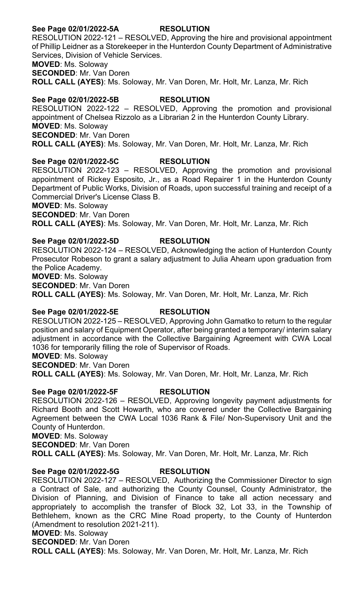## **See Page 02/01/2022-5A RESOLUTION**

RESOLUTION 2022-121 – RESOLVED, Approving the hire and provisional appointment of Phillip Leidner as a Storekeeper in the Hunterdon County Department of Administrative Services, Division of Vehicle Services.

**MOVED**: Ms. Soloway

**SECONDED**: Mr. Van Doren

**ROLL CALL (AYES)**: Ms. Soloway, Mr. Van Doren, Mr. Holt, Mr. Lanza, Mr. Rich

## **See Page 02/01/2022-5B RESOLUTION**

RESOLUTION 2022-122 – RESOLVED, Approving the promotion and provisional appointment of Chelsea Rizzolo as a Librarian 2 in the Hunterdon County Library. **MOVED**: Ms. Soloway **SECONDED**: Mr. Van Doren **ROLL CALL (AYES)**: Ms. Soloway, Mr. Van Doren, Mr. Holt, Mr. Lanza, Mr. Rich

# **See Page 02/01/2022-5C RESOLUTION**

RESOLUTION 2022-123 – RESOLVED, Approving the promotion and provisional appointment of Rickey Esposito, Jr., as a Road Repairer 1 in the Hunterdon County Department of Public Works, Division of Roads, upon successful training and receipt of a Commercial Driver's License Class B. **MOVED**: Ms. Soloway

**SECONDED**: Mr. Van Doren **ROLL CALL (AYES)**: Ms. Soloway, Mr. Van Doren, Mr. Holt, Mr. Lanza, Mr. Rich

# **See Page 02/01/2022-5D RESOLUTION**

RESOLUTION 2022-124 – RESOLVED, Acknowledging the action of Hunterdon County Prosecutor Robeson to grant a salary adjustment to Julia Ahearn upon graduation from the Police Academy. **MOVED**: Ms. Soloway

**SECONDED**: Mr. Van Doren

**ROLL CALL (AYES)**: Ms. Soloway, Mr. Van Doren, Mr. Holt, Mr. Lanza, Mr. Rich

## **See Page 02/01/2022-5E RESOLUTION**

RESOLUTION 2022-125 – RESOLVED, Approving John Gamatko to return to the regular position and salary of Equipment Operator, after being granted a temporary/ interim salary adjustment in accordance with the Collective Bargaining Agreement with CWA Local 1036 for temporarily filling the role of Supervisor of Roads.

**MOVED**: Ms. Soloway

**SECONDED**: Mr. Van Doren

**ROLL CALL (AYES)**: Ms. Soloway, Mr. Van Doren, Mr. Holt, Mr. Lanza, Mr. Rich

### **See Page 02/01/2022-5F RESOLUTION**

RESOLUTION 2022-126 – RESOLVED, Approving longevity payment adjustments for Richard Booth and Scott Howarth, who are covered under the Collective Bargaining Agreement between the CWA Local 1036 Rank & File/ Non-Supervisory Unit and the County of Hunterdon.

**MOVED**: Ms. Soloway

**SECONDED**: Mr. Van Doren

**ROLL CALL (AYES)**: Ms. Soloway, Mr. Van Doren, Mr. Holt, Mr. Lanza, Mr. Rich

## **See Page 02/01/2022-5G RESOLUTION**

RESOLUTION 2022-127 – RESOLVED, Authorizing the Commissioner Director to sign a Contract of Sale, and authorizing the County Counsel, County Administrator, the Division of Planning, and Division of Finance to take all action necessary and appropriately to accomplish the transfer of Block 32, Lot 33, in the Township of Bethlehem, known as the CRC Mine Road property, to the County of Hunterdon (Amendment to resolution 2021-211).

**MOVED**: Ms. Soloway

**SECONDED**: Mr. Van Doren

**ROLL CALL (AYES)**: Ms. Soloway, Mr. Van Doren, Mr. Holt, Mr. Lanza, Mr. Rich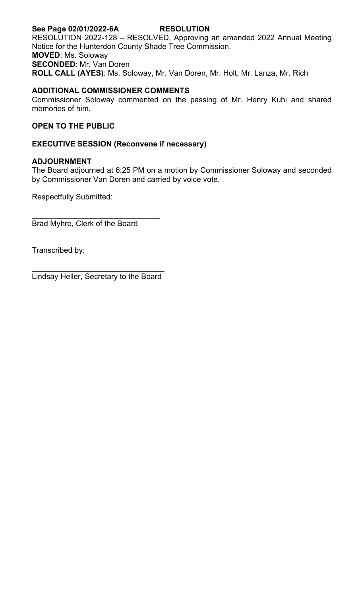#### **See Page 02/01/2022-6A RESOLUTION** RESOLUTION 2022-128 – RESOLVED, Approving an amended 2022 Annual Meeting Notice for the Hunterdon County Shade Tree Commission. **MOVED**: Ms. Soloway **SECONDED**: Mr. Van Doren **ROLL CALL (AYES)**: Ms. Soloway, Mr. Van Doren, Mr. Holt, Mr. Lanza, Mr. Rich

## **ADDITIONAL COMMISSIONER COMMENTS**

Commissioner Soloway commented on the passing of Mr. Henry Kuhl and shared memories of him.

## **OPEN TO THE PUBLIC**

## **EXECUTIVE SESSION (Reconvene if necessary)**

### **ADJOURNMENT**

The Board adjourned at 6:25 PM on a motion by Commissioner Soloway and seconded by Commissioner Van Doren and carried by voice vote.

Respectfully Submitted:

\_\_\_\_\_\_\_\_\_\_\_\_\_\_\_\_\_\_\_\_\_\_\_\_\_\_\_\_\_\_ Brad Myhre, Clerk of the Board

Transcribed by:

\_\_\_\_\_\_\_\_\_\_\_\_\_\_\_\_\_\_\_\_\_\_\_\_\_\_\_\_\_\_\_ Lindsay Heller, Secretary to the Board